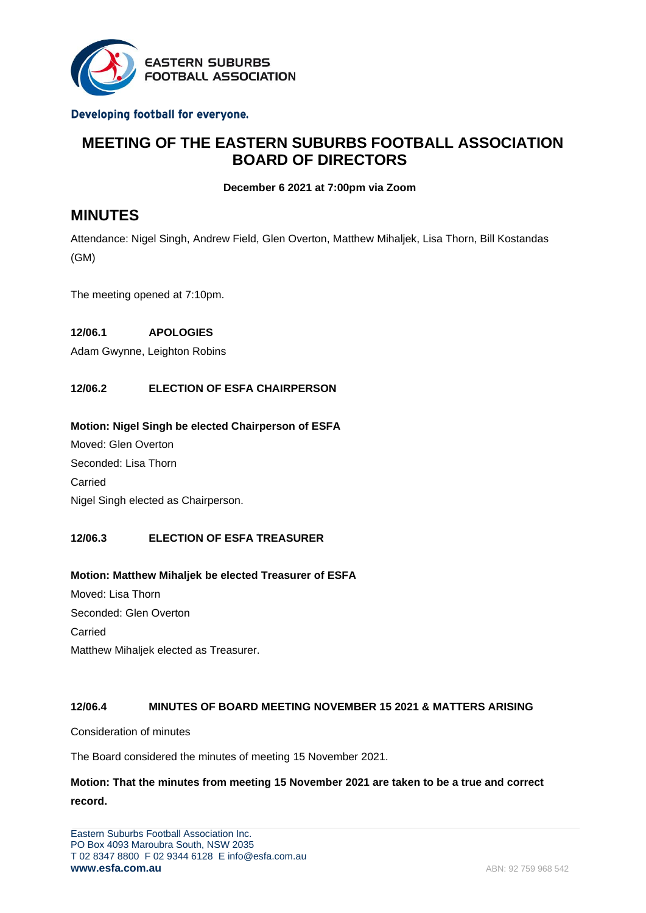

#### Developing football for everyone.

# **MEETING OF THE EASTERN SUBURBS FOOTBALL ASSOCIATION BOARD OF DIRECTORS**

**December 6 2021 at 7:00pm via Zoom**

# **MINUTES**

Attendance: Nigel Singh, Andrew Field, Glen Overton, Matthew Mihaljek, Lisa Thorn, Bill Kostandas (GM)

The meeting opened at 7:10pm.

### **12/06.1 APOLOGIES**

Adam Gwynne, Leighton Robins

### **12/06.2 ELECTION OF ESFA CHAIRPERSON**

#### **Motion: Nigel Singh be elected Chairperson of ESFA**

Moved: Glen Overton Seconded: Lisa Thorn Carried Nigel Singh elected as Chairperson.

### **12/06.3 ELECTION OF ESFA TREASURER**

### **Motion: Matthew Mihaljek be elected Treasurer of ESFA** Moved: Lisa Thorn

Seconded: Glen Overton Carried Matthew Mihaljek elected as Treasurer.

#### **12/06.4 MINUTES OF BOARD MEETING NOVEMBER 15 2021 & MATTERS ARISING**

Consideration of minutes

The Board considered the minutes of meeting 15 November 2021.

### **Motion: That the minutes from meeting 15 November 2021 are taken to be a true and correct record.**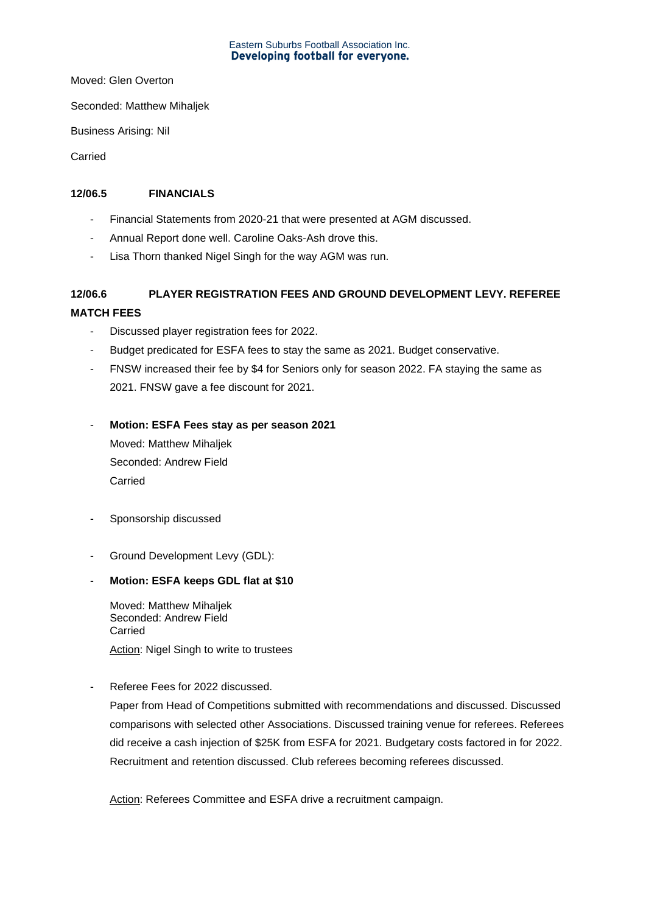# Eastern Suburbs Football Association Inc.<br>**Developing football for everyone.**

Moved: Glen Overton

Seconded: Matthew Mihaljek

Business Arising: Nil

Carried

### **12/06.5 FINANCIALS**

- Financial Statements from 2020-21 that were presented at AGM discussed.
- Annual Report done well. Caroline Oaks-Ash drove this.
- Lisa Thorn thanked Nigel Singh for the way AGM was run.

# **12/06.6 PLAYER REGISTRATION FEES AND GROUND DEVELOPMENT LEVY. REFEREE MATCH FEES**

- Discussed player registration fees for 2022.
- Budget predicated for ESFA fees to stay the same as 2021. Budget conservative.
- FNSW increased their fee by \$4 for Seniors only for season 2022. FA staying the same as 2021. FNSW gave a fee discount for 2021.
- **Motion: ESFA Fees stay as per season 2021** Moved: Matthew Mihaljek Seconded: Andrew Field Carried
- Sponsorship discussed
- Ground Development Levy (GDL):

### - **Motion: ESFA keeps GDL flat at \$10**

Moved: Matthew Mihaljek Seconded: Andrew Field Carried Action: Nigel Singh to write to trustees

Referee Fees for 2022 discussed.

Paper from Head of Competitions submitted with recommendations and discussed. Discussed comparisons with selected other Associations. Discussed training venue for referees. Referees did receive a cash injection of \$25K from ESFA for 2021. Budgetary costs factored in for 2022. Recruitment and retention discussed. Club referees becoming referees discussed.

Action: Referees Committee and ESFA drive a recruitment campaign.